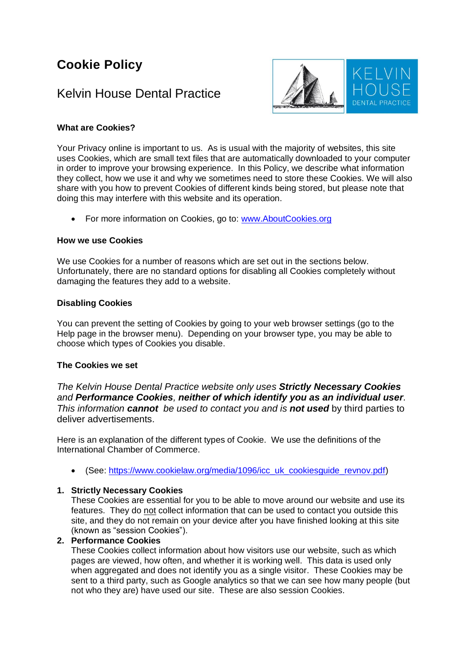# **Cookie Policy**

# Kelvin House Dental Practice



## **What are Cookies?**

Your Privacy online is important to us. As is usual with the majority of websites, this site uses Cookies, which are small text files that are automatically downloaded to your computer in order to improve your browsing experience. In this Policy, we describe what information they collect, how we use it and why we sometimes need to store these Cookies. We will also share with you how to prevent Cookies of different kinds being stored, but please note that doing this may interfere with this website and its operation.

• For more information on Cookies, go to: [www.AboutCookies.org](http://www.aboutcookies.org/)

#### **How we use Cookies**

We use Cookies for a number of reasons which are set out in the sections below. Unfortunately, there are no standard options for disabling all Cookies completely without damaging the features they add to a website.

#### **Disabling Cookies**

You can prevent the setting of Cookies by going to your web browser settings (go to the Help page in the browser menu). Depending on your browser type, you may be able to choose which types of Cookies you disable.

#### **The Cookies we set**

*The Kelvin House Dental Practice website only uses Strictly Necessary Cookies and Performance Cookies, neither of which identify you as an individual user. This information cannot be used to contact you and is not used* by third parties to deliver advertisements.

Here is an explanation of the different types of Cookie. We use the definitions of the International Chamber of Commerce.

• (See: [https://www.cookielaw.org/media/1096/icc\\_uk\\_cookiesguide\\_revnov.pdf\)](https://www.cookielaw.org/media/1096/icc_uk_cookiesguide_revnov.pdf)

#### **1. Strictly Necessary Cookies**

These Cookies are essential for you to be able to move around our website and use its features. They do not collect information that can be used to contact you outside this site, and they do not remain on your device after you have finished looking at this site (known as "session Cookies").

## **2. Performance Cookies**

These Cookies collect information about how visitors use our website, such as which pages are viewed, how often, and whether it is working well. This data is used only when aggregated and does not identify you as a single visitor. These Cookies may be sent to a third party, such as Google analytics so that we can see how many people (but not who they are) have used our site. These are also session Cookies.